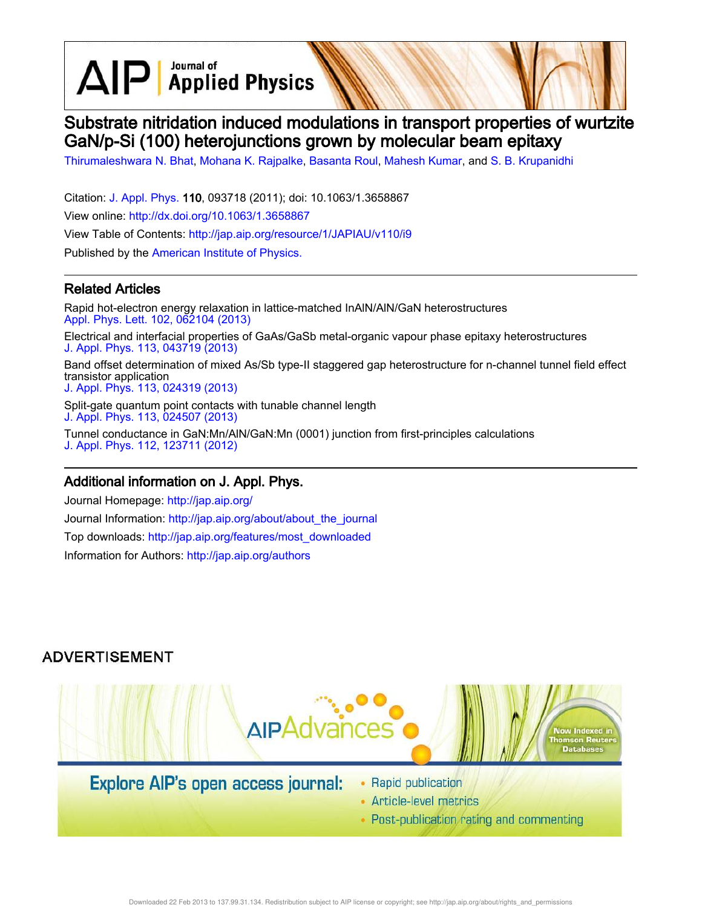Journal of  $\text{AlP}$  Applied Physics

# Substrate nitridation induced modulations in transport properties of wurtzite GaN/p-Si (100) heterojunctions grown by molecular beam epitaxy

Thirumaleshwara N. Bhat, Mohana K. Rajpalke, Basanta Roul, Mahesh Kumar, and S. B. Krupanidhi

Citation: J. Appl. Phys. 110, 093718 (2011); doi: 10.1063/1.3658867 View online: http://dx.doi.org/10.1063/1.3658867 View Table of Contents: http://jap.aip.org/resource/1/JAPIAU/v110/i9 Published by the American Institute of Physics.

### Related Articles

Rapid hot-electron energy relaxation in lattice-matched InAlN/AlN/GaN heterostructures Appl. Phys. Lett. 102, 062104 (2013) Electrical and interfacial properties of GaAs/GaSb metal-organic vapour phase epitaxy heterostructures J. Appl. Phys. 113, 043719 (2013) Band offset determination of mixed As/Sb type-II staggered gap heterostructure for n-channel tunnel field effect transistor application J. Appl. Phys. 113, 024319 (2013) Split-gate quantum point contacts with tunable channel length J. Appl. Phys. 113, 024507 (2013) Tunnel conductance in GaN:Mn/AlN/GaN:Mn (0001) junction from first-principles calculations

### Additional information on J. Appl. Phys.

J. Appl. Phys. 112, 123711 (2012)

Journal Homepage: http://jap.aip.org/ Journal Information: http://jap.aip.org/about/about\_the\_journal Top downloads: http://jap.aip.org/features/most\_downloaded Information for Authors: http://jap.aip.org/authors

### **ADVERTISEMENT**



## Explore AIP's open access journal:

- Rapid publication
- Article-level metrics
- Post-publication rating and commenting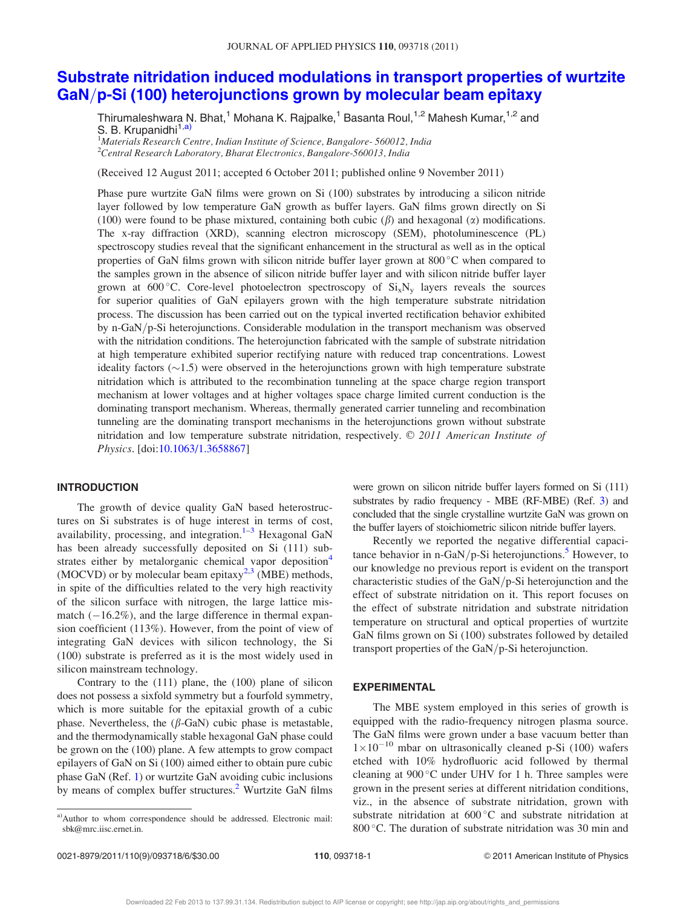### Substrate nitridation induced modulations in transport properties of wurtzite  $GaN/p-Si$  (100) heterojunctions grown by molecular beam epitaxy

Thirumaleshwara N. Bhat,<sup>1</sup> Mohana K. Rajpalke,<sup>1</sup> Basanta Roul,<sup>1,2</sup> Mahesh Kumar,<sup>1,2</sup> and S. B. Krupanidhi<sup>1,a)</sup>

<sup>1</sup>Materials Research Centre, Indian Institute of Science, Bangalore-560012, India  $2$ Central Research Laboratory, Bharat Electronics, Bangalore-560013, India

(Received 12 August 2011; accepted 6 October 2011; published online 9 November 2011)

Phase pure wurtzite GaN films were grown on Si (100) substrates by introducing a silicon nitride layer followed by low temperature GaN growth as buffer layers. GaN films grown directly on Si (100) were found to be phase mixtured, containing both cubic  $(\beta)$  and hexagonal  $(\alpha)$  modifications. The x-ray diffraction (XRD), scanning electron microscopy (SEM), photoluminescence (PL) spectroscopy studies reveal that the significant enhancement in the structural as well as in the optical properties of GaN films grown with silicon nitride buffer layer grown at 800 °C when compared to the samples grown in the absence of silicon nitride buffer layer and with silicon nitride buffer layer grown at 600 °C. Core-level photoelectron spectroscopy of  $Si_xN_y$  layers reveals the sources for superior qualities of GaN epilayers grown with the high temperature substrate nitridation process. The discussion has been carried out on the typical inverted rectification behavior exhibited by n-GaN/ $p$ -Si heterojunctions. Considerable modulation in the transport mechanism was observed with the nitridation conditions. The heterojunction fabricated with the sample of substrate nitridation at high temperature exhibited superior rectifying nature with reduced trap concentrations. Lowest ideality factors  $(\sim 1.5)$  were observed in the heterojunctions grown with high temperature substrate nitridation which is attributed to the recombination tunneling at the space charge region transport mechanism at lower voltages and at higher voltages space charge limited current conduction is the dominating transport mechanism. Whereas, thermally generated carrier tunneling and recombination tunneling are the dominating transport mechanisms in the heterojunctions grown without substrate nitridation and low temperature substrate nitridation, respectively.  $\odot$  2011 American Institute of Physics. [doi:10.1063/1.3658867]

#### INTRODUCTION

The growth of device quality GaN based heterostructures on Si substrates is of huge interest in terms of cost, availability, processing, and integration. $1-3$  Hexagonal GaN has been already successfully deposited on Si (111) substrates either by metalorganic chemical vapor deposition<sup>4</sup> (MOCVD) or by molecular beam epitaxy<sup>2,3</sup> (MBE) methods, in spite of the difficulties related to the very high reactivity of the silicon surface with nitrogen, the large lattice mismatch  $(-16.2\%)$ , and the large difference in thermal expansion coefficient (113%). However, from the point of view of integrating GaN devices with silicon technology, the Si (100) substrate is preferred as it is the most widely used in silicon mainstream technology.

Contrary to the (111) plane, the (100) plane of silicon does not possess a sixfold symmetry but a fourfold symmetry, which is more suitable for the epitaxial growth of a cubic phase. Nevertheless, the  $(\beta$ -GaN) cubic phase is metastable, and the thermodynamically stable hexagonal GaN phase could be grown on the (100) plane. A few attempts to grow compact epilayers of GaN on Si (100) aimed either to obtain pure cubic phase GaN (Ref. 1) or wurtzite GaN avoiding cubic inclusions by means of complex buffer structures.<sup>2</sup> Wurtzite GaN films were grown on silicon nitride buffer layers formed on Si (111) substrates by radio frequency - MBE (RF-MBE) (Ref. 3) and concluded that the single crystalline wurtzite GaN was grown on the buffer layers of stoichiometric silicon nitride buffer layers.

Recently we reported the negative differential capacitance behavior in n-GaN/p-Si heterojunctions.<sup>5</sup> However, to our knowledge no previous report is evident on the transport characteristic studies of the  $GaN/p-Si$  heterojunction and the effect of substrate nitridation on it. This report focuses on the effect of substrate nitridation and substrate nitridation temperature on structural and optical properties of wurtzite GaN films grown on Si (100) substrates followed by detailed transport properties of the GaN/p-Si heterojunction.

#### EXPERIMENTAL

The MBE system employed in this series of growth is equipped with the radio-frequency nitrogen plasma source. The GaN films were grown under a base vacuum better than  $1\times10^{-10}$  mbar on ultrasonically cleaned p-Si (100) wafers etched with 10% hydrofluoric acid followed by thermal cleaning at  $900^{\circ}$ C under UHV for 1 h. Three samples were grown in the present series at different nitridation conditions, viz., in the absence of substrate nitridation, grown with substrate nitridation at  $600\,^{\circ}\text{C}$  and substrate nitridation at 800 °C. The duration of substrate nitridation was 30 min and

a)Author to whom correspondence should be addressed. Electronic mail: sbk@mrc.iisc.ernet.in.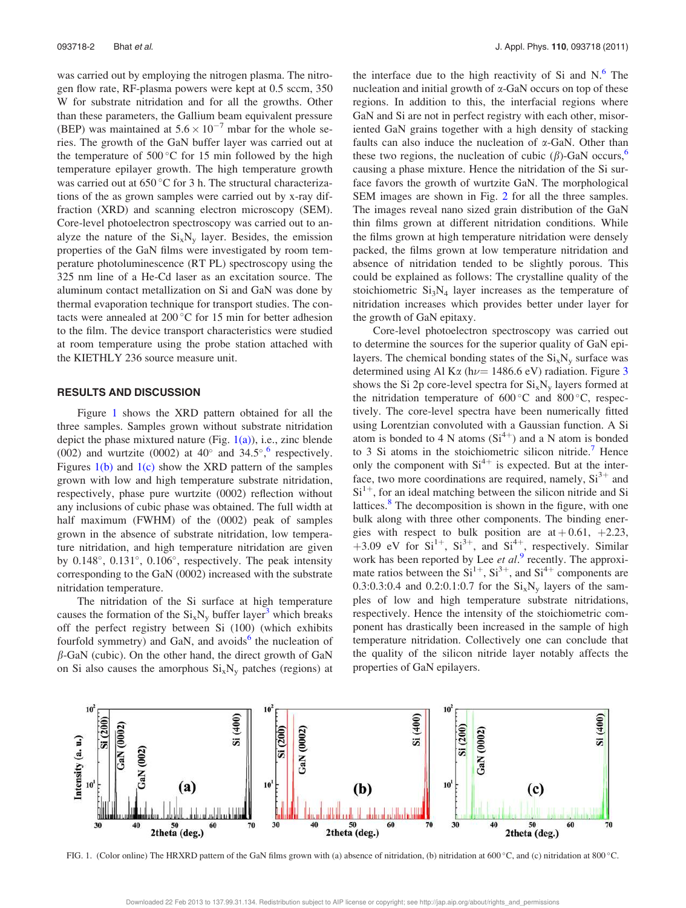was carried out by employing the nitrogen plasma. The nitrogen flow rate, RF-plasma powers were kept at 0.5 sccm, 350 W for substrate nitridation and for all the growths. Other than these parameters, the Gallium beam equivalent pressure (BEP) was maintained at  $5.6 \times 10^{-7}$  mbar for the whole series. The growth of the GaN buffer layer was carried out at the temperature of  $500^{\circ}$ C for 15 min followed by the high temperature epilayer growth. The high temperature growth was carried out at  $650^{\circ}$ C for 3 h. The structural characterizations of the as grown samples were carried out by x-ray diffraction (XRD) and scanning electron microscopy (SEM). Core-level photoelectron spectroscopy was carried out to analyze the nature of the  $Si_xN_y$  layer. Besides, the emission properties of the GaN films were investigated by room temperature photoluminescence (RT PL) spectroscopy using the 325 nm line of a He-Cd laser as an excitation source. The aluminum contact metallization on Si and GaN was done by thermal evaporation technique for transport studies. The contacts were annealed at  $200^{\circ}$ C for 15 min for better adhesion to the film. The device transport characteristics were studied at room temperature using the probe station attached with the KIETHLY 236 source measure unit.

#### RESULTS AND DISCUSSION

Figure 1 shows the XRD pattern obtained for all the three samples. Samples grown without substrate nitridation depict the phase mixtured nature (Fig.  $1(a)$ ), i.e., zinc blende (002) and wurtzite (0002) at 40 $^{\circ}$  and 34.5 $^{\circ}$ , respectively. Figures  $1(b)$  and  $1(c)$  show the XRD pattern of the samples grown with low and high temperature substrate nitridation, respectively, phase pure wurtzite (0002) reflection without any inclusions of cubic phase was obtained. The full width at half maximum (FWHM) of the (0002) peak of samples grown in the absence of substrate nitridation, low temperature nitridation, and high temperature nitridation are given by 0.148°, 0.131°, 0.106°, respectively. The peak intensity corresponding to the GaN (0002) increased with the substrate nitridation temperature.

The nitridation of the Si surface at high temperature causes the formation of the  $Si_xN_y$  buffer layer<sup>3</sup> which breaks off the perfect registry between Si (100) (which exhibits fourfold symmetry) and GaN, and avoids<sup>6</sup> the nucleation of  $\beta$ -GaN (cubic). On the other hand, the direct growth of GaN on Si also causes the amorphous  $Si_xN_y$  patches (regions) at

the interface due to the high reactivity of Si and  $N<sup>6</sup>$ . The nucleation and initial growth of  $\alpha$ -GaN occurs on top of these regions. In addition to this, the interfacial regions where GaN and Si are not in perfect registry with each other, misoriented GaN grains together with a high density of stacking faults can also induce the nucleation of  $\alpha$ -GaN. Other than these two regions, the nucleation of cubic  $(\beta)$ -GaN occurs,<sup>6</sup> causing a phase mixture. Hence the nitridation of the Si surface favors the growth of wurtzite GaN. The morphological SEM images are shown in Fig. 2 for all the three samples. The images reveal nano sized grain distribution of the GaN thin films grown at different nitridation conditions. While the films grown at high temperature nitridation were densely packed, the films grown at low temperature nitridation and absence of nitridation tended to be slightly porous. This could be explained as follows: The crystalline quality of the stoichiometric  $Si<sub>3</sub>N<sub>4</sub>$  layer increases as the temperature of nitridation increases which provides better under layer for the growth of GaN epitaxy.

Core-level photoelectron spectroscopy was carried out to determine the sources for the superior quality of GaN epilayers. The chemical bonding states of the  $Si<sub>x</sub>N<sub>y</sub>$  surface was determined using Al K $\alpha$  (h $\nu$  = 1486.6 eV) radiation. Figure 3 shows the Si 2p core-level spectra for  $Si_xN_y$  layers formed at the nitridation temperature of  $600^{\circ}$ C and  $800^{\circ}$ C, respectively. The core-level spectra have been numerically fitted using Lorentzian convoluted with a Gaussian function. A Si atom is bonded to 4 N atoms  $(Si^{4+})$  and a N atom is bonded to 3 Si atoms in the stoichiometric silicon nitride.<sup>7</sup> Hence only the component with  $Si<sup>4+</sup>$  is expected. But at the interface, two more coordinations are required, namely,  $Si<sup>3+</sup>$  and  $Si<sup>1+</sup>$ , for an ideal matching between the silicon nitride and Si lattices.<sup>8</sup> The decomposition is shown in the figure, with one bulk along with three other components. The binding energies with respect to bulk position are  $at + 0.61, +2.23$ , +3.09 eV for  $Si^{1+}$ ,  $Si^{3+}$ , and  $Si^{4+}$ , respectively. Similar work has been reported by Lee et al.<sup>9</sup> recently. The approximate ratios between the  $Si^{1+}$ ,  $Si^{3+}$ , and  $Si^{4+}$  components are 0.3:0.3:0.4 and 0.2:0.1:0.7 for the  $Si_xN_y$  layers of the samples of low and high temperature substrate nitridations, respectively. Hence the intensity of the stoichiometric component has drastically been increased in the sample of high temperature nitridation. Collectively one can conclude that the quality of the silicon nitride layer notably affects the properties of GaN epilayers.



FIG. 1. (Color online) The HRXRD pattern of the GaN films grown with (a) absence of nitridation, (b) nitridation at 600 °C, and (c) nitridation at 800 °C.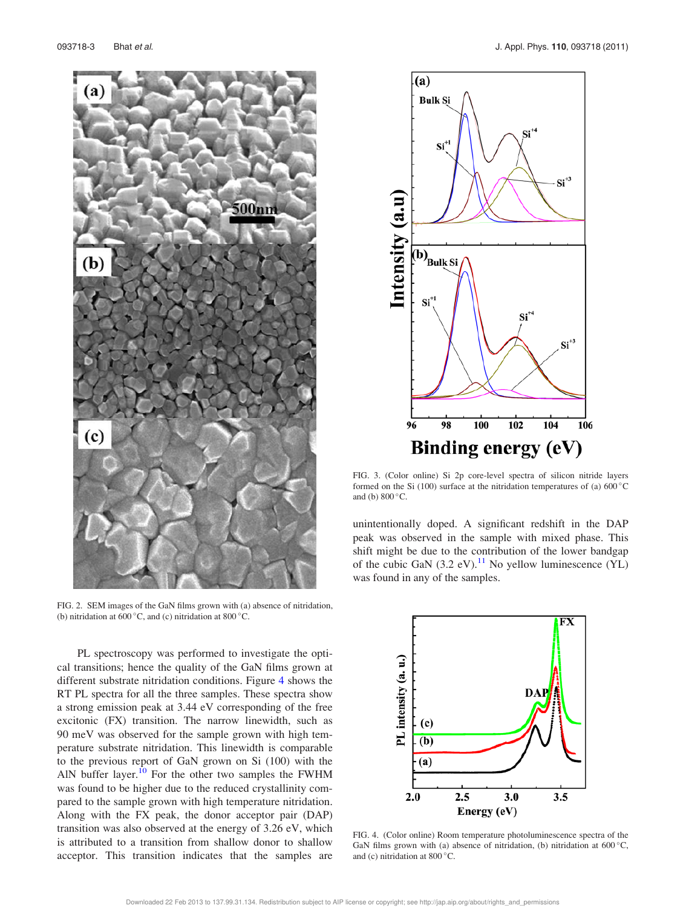

FIG. 2. SEM images of the GaN films grown with (a) absence of nitridation, (b) nitridation at 600 $^{\circ}$ C, and (c) nitridation at 800 $^{\circ}$ C.

PL spectroscopy was performed to investigate the optical transitions; hence the quality of the GaN films grown at different substrate nitridation conditions. Figure 4 shows the RT PL spectra for all the three samples. These spectra show a strong emission peak at 3.44 eV corresponding of the free excitonic (FX) transition. The narrow linewidth, such as 90 meV was observed for the sample grown with high temperature substrate nitridation. This linewidth is comparable to the previous report of GaN grown on Si (100) with the AlN buffer layer.<sup>10</sup> For the other two samples the FWHM was found to be higher due to the reduced crystallinity compared to the sample grown with high temperature nitridation. Along with the FX peak, the donor acceptor pair (DAP) transition was also observed at the energy of 3.26 eV, which is attributed to a transition from shallow donor to shallow acceptor. This transition indicates that the samples are



FIG. 3. (Color online) Si 2p core-level spectra of silicon nitride layers formed on the Si (100) surface at the nitridation temperatures of (a)  $600^{\circ}$ C and (b)  $800^{\circ}$ C.

unintentionally doped. A significant redshift in the DAP peak was observed in the sample with mixed phase. This shift might be due to the contribution of the lower bandgap of the cubic GaN  $(3.2 \text{ eV})$ .<sup>11</sup> No yellow luminescence (YL) was found in any of the samples.



FIG. 4. (Color online) Room temperature photoluminescence spectra of the GaN films grown with (a) absence of nitridation, (b) nitridation at  $600^{\circ}$ C, and (c) nitridation at  $800^{\circ}$ C.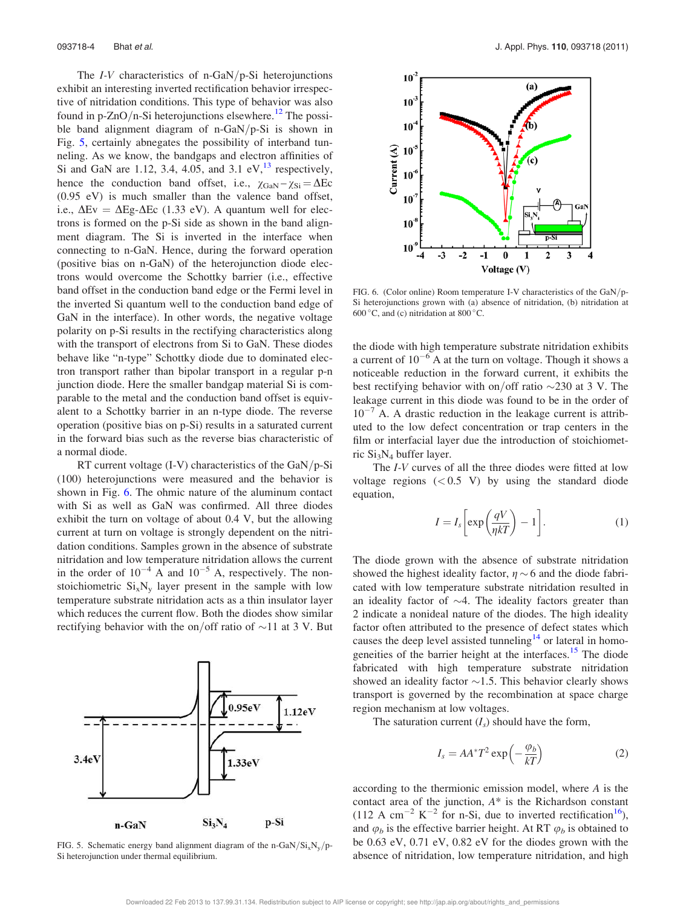The  $I-V$  characteristics of n-GaN/p-Si heterojunctions exhibit an interesting inverted rectification behavior irrespective of nitridation conditions. This type of behavior was also found in p-ZnO/n-Si heterojunctions elsewhere.<sup>12</sup> The possible band alignment diagram of n-GaN/p-Si is shown in Fig. 5, certainly abnegates the possibility of interband tunneling. As we know, the bandgaps and electron affinities of Si and GaN are 1.12, 3.4, 4.05, and 3.1 eV, $^{13}$  respectively, hence the conduction band offset, i.e.,  $\chi_{\text{GaN}} - \chi_{\text{Si}} = \Delta Ec$ (0.95 eV) is much smaller than the valence band offset, i.e.,  $\Delta E$ v =  $\Delta E$ g- $\Delta E$ c (1.33 eV). A quantum well for electrons is formed on the p-Si side as shown in the band alignment diagram. The Si is inverted in the interface when connecting to n-GaN. Hence, during the forward operation (positive bias on n-GaN) of the heterojunction diode electrons would overcome the Schottky barrier (i.e., effective band offset in the conduction band edge or the Fermi level in the inverted Si quantum well to the conduction band edge of GaN in the interface). In other words, the negative voltage polarity on p-Si results in the rectifying characteristics along with the transport of electrons from Si to GaN. These diodes behave like "n-type" Schottky diode due to dominated electron transport rather than bipolar transport in a regular p-n junction diode. Here the smaller bandgap material Si is comparable to the metal and the conduction band offset is equivalent to a Schottky barrier in an n-type diode. The reverse operation (positive bias on p-Si) results in a saturated current in the forward bias such as the reverse bias characteristic of a normal diode.

RT current voltage  $(I-V)$  characteristics of the GaN/p-Si (100) heterojunctions were measured and the behavior is shown in Fig. 6. The ohmic nature of the aluminum contact with Si as well as GaN was confirmed. All three diodes exhibit the turn on voltage of about 0.4 V, but the allowing current at turn on voltage is strongly dependent on the nitridation conditions. Samples grown in the absence of substrate nitridation and low temperature nitridation allows the current in the order of  $10^{-4}$  A and  $10^{-5}$  A, respectively. The nonstoichiometric  $Si_xN_y$  layer present in the sample with low temperature substrate nitridation acts as a thin insulator layer which reduces the current flow. Both the diodes show similar rectifying behavior with the on/off ratio of  $\sim$ 11 at 3 V. But





FIG. 6. (Color online) Room temperature I-V characteristics of the  $GaN/p$ -Si heterojunctions grown with (a) absence of nitridation, (b) nitridation at 600 $\degree$ C, and (c) nitridation at 800 $\degree$ C.

the diode with high temperature substrate nitridation exhibits a current of  $10^{-6}$  A at the turn on voltage. Though it shows a noticeable reduction in the forward current, it exhibits the best rectifying behavior with on/off ratio  $\sim$ 230 at 3 V. The leakage current in this diode was found to be in the order of  $10^{-7}$  A. A drastic reduction in the leakage current is attributed to the low defect concentration or trap centers in the film or interfacial layer due the introduction of stoichiometric Si3N<sup>4</sup> buffer layer.

The I-V curves of all the three diodes were fitted at low voltage regions  $( $0.5$  V) by using the standard diode$ equation,

$$
I = I_s \left[ \exp\left(\frac{qV}{\eta kT}\right) - 1 \right].
$$
 (1)

The diode grown with the absence of substrate nitridation showed the highest ideality factor,  $\eta \sim 6$  and the diode fabricated with low temperature substrate nitridation resulted in an ideality factor of  $\sim$ 4. The ideality factors greater than 2 indicate a nonideal nature of the diodes. The high ideality factor often attributed to the presence of defect states which causes the deep level assisted tunneling<sup>14</sup> or lateral in homogeneities of the barrier height at the interfaces.<sup>15</sup> The diode fabricated with high temperature substrate nitridation showed an ideality factor  $\sim$ 1.5. This behavior clearly shows transport is governed by the recombination at space charge region mechanism at low voltages.

The saturation current  $(I_s)$  should have the form,

$$
I_s = AA^*T^2 \exp\left(-\frac{\varphi_b}{kT}\right) \tag{2}
$$

according to the thermionic emission model, where A is the contact area of the junction, A\* is the Richardson constant (112 A cm<sup>-2</sup> K<sup>-2</sup> for n-Si, due to inverted rectification<sup>16</sup>), and  $\varphi_b$  is the effective barrier height. At RT  $\varphi_b$  is obtained to be 0.63 eV, 0.71 eV, 0.82 eV for the diodes grown with the absence of nitridation, low temperature nitridation, and high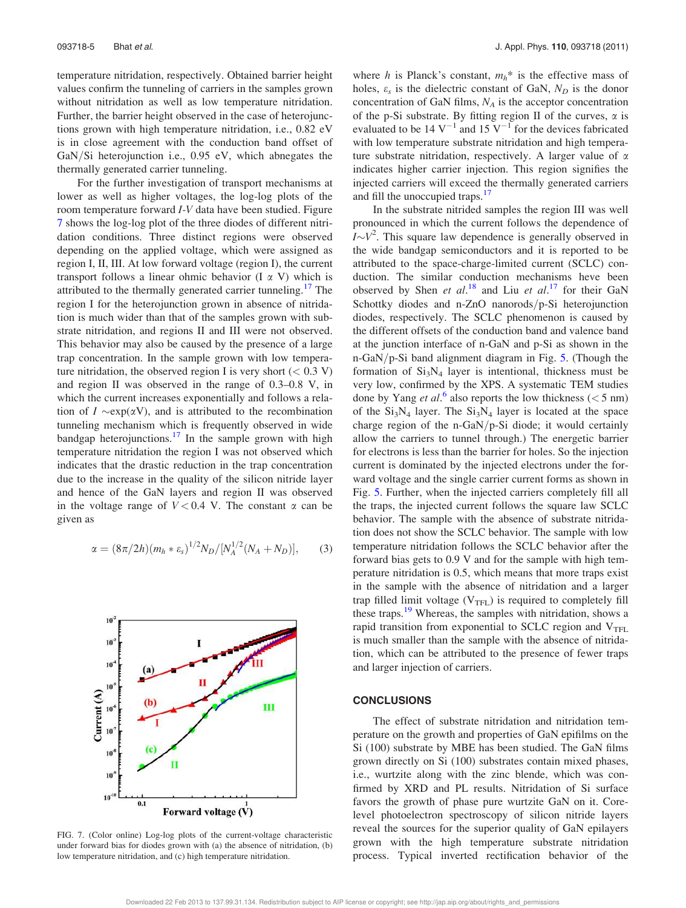temperature nitridation, respectively. Obtained barrier height values confirm the tunneling of carriers in the samples grown without nitridation as well as low temperature nitridation. Further, the barrier height observed in the case of heterojunctions grown with high temperature nitridation, i.e., 0.82 eV is in close agreement with the conduction band offset of  $GaN/Si$  heterojunction i.e., 0.95 eV, which abnegates the thermally generated carrier tunneling.

For the further investigation of transport mechanisms at lower as well as higher voltages, the log-log plots of the room temperature forward I-V data have been studied. Figure 7 shows the log-log plot of the three diodes of different nitridation conditions. Three distinct regions were observed depending on the applied voltage, which were assigned as region I, II, III. At low forward voltage (region I), the current transport follows a linear ohmic behavior  $(I \alpha V)$  which is attributed to the thermally generated carrier tunneling.<sup>17</sup> The region I for the heterojunction grown in absence of nitridation is much wider than that of the samples grown with substrate nitridation, and regions II and III were not observed. This behavior may also be caused by the presence of a large trap concentration. In the sample grown with low temperature nitridation, the observed region I is very short  $(< 0.3 V)$ and region II was observed in the range of 0.3–0.8 V, in which the current increases exponentially and follows a relation of  $I \sim \exp(\alpha V)$ , and is attributed to the recombination tunneling mechanism which is frequently observed in wide bandgap heterojunctions.<sup>17</sup> In the sample grown with high temperature nitridation the region I was not observed which indicates that the drastic reduction in the trap concentration due to the increase in the quality of the silicon nitride layer and hence of the GaN layers and region II was observed in the voltage range of  $V < 0.4$  V. The constant  $\alpha$  can be given as

$$
\alpha = (8\pi/2h)(m_h * \varepsilon_s)^{1/2} N_D / [N_A^{1/2}(N_A + N_D)],\tag{3}
$$



FIG. 7. (Color online) Log-log plots of the current-voltage characteristic under forward bias for diodes grown with (a) the absence of nitridation, (b) low temperature nitridation, and (c) high temperature nitridation.

where h is Planck's constant,  $m_h^*$  is the effective mass of holes,  $\varepsilon_s$  is the dielectric constant of GaN,  $N_D$  is the donor concentration of GaN films,  $N_A$  is the acceptor concentration of the p-Si substrate. By fitting region II of the curves,  $\alpha$  is evaluated to be 14  $V^{-1}$  and 15  $V^{-1}$  for the devices fabricated with low temperature substrate nitridation and high temperature substrate nitridation, respectively. A larger value of  $\alpha$ indicates higher carrier injection. This region signifies the injected carriers will exceed the thermally generated carriers and fill the unoccupied traps.<sup>17</sup>

In the substrate nitrided samples the region III was well pronounced in which the current follows the dependence of  $I \sim V^2$ . This square law dependence is generally observed in the wide bandgap semiconductors and it is reported to be attributed to the space-charge-limited current (SCLC) conduction. The similar conduction mechanisms heve been observed by Shen et al.<sup>18</sup> and Liu et al.<sup>17</sup> for their GaN Schottky diodes and n-ZnO nanorods/p-Si heterojunction diodes, respectively. The SCLC phenomenon is caused by the different offsets of the conduction band and valence band at the junction interface of n-GaN and p-Si as shown in the n-GaN/p-Si band alignment diagram in Fig.  $5$ . (Though the formation of  $Si<sub>3</sub>N<sub>4</sub>$  layer is intentional, thickness must be very low, confirmed by the XPS. A systematic TEM studies done by Yang et al.<sup>6</sup> also reports the low thickness ( $<$  5 nm) of the  $Si<sub>3</sub>N<sub>4</sub>$  layer. The  $Si<sub>3</sub>N<sub>4</sub>$  layer is located at the space charge region of the n-GaN/p-Si diode; it would certainly allow the carriers to tunnel through.) The energetic barrier for electrons is less than the barrier for holes. So the injection current is dominated by the injected electrons under the forward voltage and the single carrier current forms as shown in Fig. 5. Further, when the injected carriers completely fill all the traps, the injected current follows the square law SCLC behavior. The sample with the absence of substrate nitridation does not show the SCLC behavior. The sample with low temperature nitridation follows the SCLC behavior after the forward bias gets to 0.9 V and for the sample with high temperature nitridation is 0.5, which means that more traps exist in the sample with the absence of nitridation and a larger trap filled limit voltage  $(V_{TFL})$  is required to completely fill these traps.<sup>19</sup> Whereas, the samples with nitridation, shows a rapid transition from exponential to SCLC region and  $V<sub>TFL</sub>$ is much smaller than the sample with the absence of nitridation, which can be attributed to the presence of fewer traps and larger injection of carriers.

#### **CONCLUSIONS**

The effect of substrate nitridation and nitridation temperature on the growth and properties of GaN epifilms on the Si (100) substrate by MBE has been studied. The GaN films grown directly on Si (100) substrates contain mixed phases, i.e., wurtzite along with the zinc blende, which was confirmed by XRD and PL results. Nitridation of Si surface favors the growth of phase pure wurtzite GaN on it. Corelevel photoelectron spectroscopy of silicon nitride layers reveal the sources for the superior quality of GaN epilayers grown with the high temperature substrate nitridation process. Typical inverted rectification behavior of the